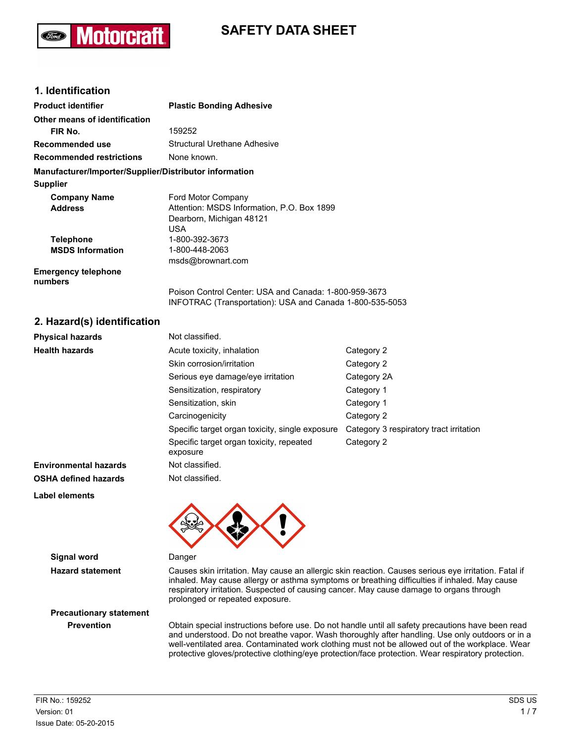# **Motorcra**

## **SAFETY DATA SHEET**

## **1. Identification**

| <b>Product identifier</b>                              | <b>Plastic Bonding Adhesive</b>                                                                                   |
|--------------------------------------------------------|-------------------------------------------------------------------------------------------------------------------|
| Other means of identification                          |                                                                                                                   |
| FIR No.                                                | 159252                                                                                                            |
| Recommended use                                        | Structural Urethane Adhesive                                                                                      |
| <b>Recommended restrictions</b>                        | None known.                                                                                                       |
| Manufacturer/Importer/Supplier/Distributor information |                                                                                                                   |
| <b>Supplier</b>                                        |                                                                                                                   |
| <b>Company Name</b><br><b>Address</b>                  | Ford Motor Company<br>Attention: MSDS Information, P.O. Box 1899<br>Dearborn, Michigan 48121<br>USA               |
| <b>Telephone</b><br><b>MSDS Information</b>            | 1-800-392-3673<br>1-800-448-2063<br>msds@brownart.com                                                             |
| <b>Emergency telephone</b><br>numbers                  |                                                                                                                   |
|                                                        | Poison Control Center: USA and Canada: 1-800-959-3673<br>INFOTRAC (Transportation): USA and Canada 1-800-535-5053 |

### **2. Hazard(s) identification**

| <b>Physical hazards</b>      | Not classified.                                      |                                         |
|------------------------------|------------------------------------------------------|-----------------------------------------|
| <b>Health hazards</b>        | Acute toxicity, inhalation                           | Category 2                              |
|                              | Skin corrosion/irritation                            | Category 2                              |
|                              | Serious eye damage/eye irritation                    | Category 2A                             |
|                              | Sensitization, respiratory                           | Category 1                              |
|                              | Sensitization, skin                                  | Category 1                              |
|                              | Carcinogenicity                                      | Category 2                              |
|                              | Specific target organ toxicity, single exposure      | Category 3 respiratory tract irritation |
|                              | Specific target organ toxicity, repeated<br>exposure | Category 2                              |
| <b>Environmental hazards</b> | Not classified.                                      |                                         |
| <b>OSHA defined hazards</b>  | Not classified.                                      |                                         |
| <b>Label elements</b>        |                                                      |                                         |



**Signal word** Danger

**Hazard statement** Causes skin irritation. May cause an allergic skin reaction. Causes serious eye irritation. Fatal if inhaled. May cause allergy or asthma symptoms or breathing difficulties if inhaled. May cause respiratory irritation. Suspected of causing cancer. May cause damage to organs through prolonged or repeated exposure.

**Precautionary statement**

**Prevention** Obtain special instructions before use. Do not handle until all safety precautions have been read and understood. Do not breathe vapor. Wash thoroughly after handling. Use only outdoors or in a well-ventilated area. Contaminated work clothing must not be allowed out of the workplace. Wear protective gloves/protective clothing/eye protection/face protection. Wear respiratory protection.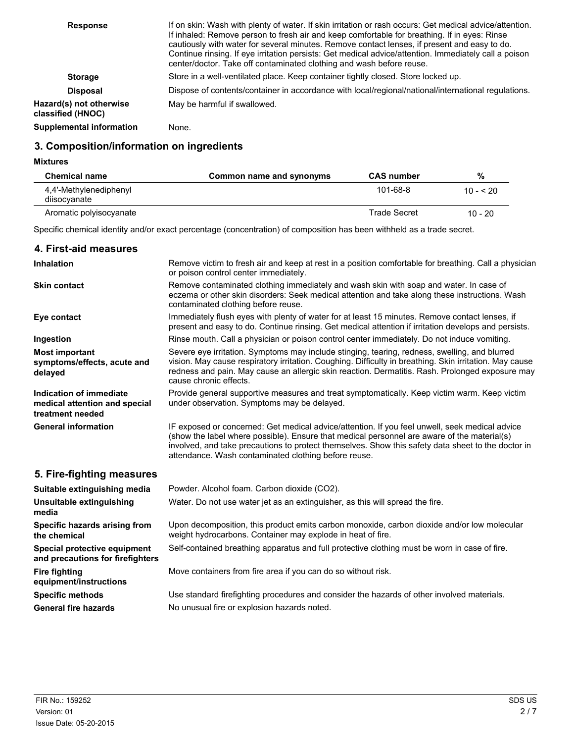| <b>Response</b>                              | If on skin: Wash with plenty of water. If skin irritation or rash occurs: Get medical advice/attention.<br>If inhaled: Remove person to fresh air and keep comfortable for breathing. If in eyes: Rinse<br>cautiously with water for several minutes. Remove contact lenses, if present and easy to do.<br>Continue rinsing. If eye irritation persists: Get medical advice/attention. Immediately call a poison<br>center/doctor. Take off contaminated clothing and wash before reuse. |
|----------------------------------------------|------------------------------------------------------------------------------------------------------------------------------------------------------------------------------------------------------------------------------------------------------------------------------------------------------------------------------------------------------------------------------------------------------------------------------------------------------------------------------------------|
| <b>Storage</b>                               | Store in a well-ventilated place. Keep container tightly closed. Store locked up.                                                                                                                                                                                                                                                                                                                                                                                                        |
| <b>Disposal</b>                              | Dispose of contents/container in accordance with local/regional/national/international regulations.                                                                                                                                                                                                                                                                                                                                                                                      |
| Hazard(s) not otherwise<br>classified (HNOC) | May be harmful if swallowed.                                                                                                                                                                                                                                                                                                                                                                                                                                                             |
| <b>Supplemental information</b>              | None.                                                                                                                                                                                                                                                                                                                                                                                                                                                                                    |

## **3. Composition/information on ingredients**

**Mixtures**

| <b>Chemical name</b>                   | Common name and synonyms | <b>CAS number</b>   | %          |
|----------------------------------------|--------------------------|---------------------|------------|
| 4.4'-Methylenediphenyl<br>diisocyanate |                          | $101 - 68 - 8$      | $10 - 520$ |
| Aromatic polyisocyanate                |                          | <b>Trade Secret</b> | $10 - 20$  |

Specific chemical identity and/or exact percentage (concentration) of composition has been withheld as a trade secret.

| 4. First-aid measures                                                        |                                                                                                                                                                                                                                                                                                                                                             |
|------------------------------------------------------------------------------|-------------------------------------------------------------------------------------------------------------------------------------------------------------------------------------------------------------------------------------------------------------------------------------------------------------------------------------------------------------|
| <b>Inhalation</b>                                                            | Remove victim to fresh air and keep at rest in a position comfortable for breathing. Call a physician<br>or poison control center immediately.                                                                                                                                                                                                              |
| <b>Skin contact</b>                                                          | Remove contaminated clothing immediately and wash skin with soap and water. In case of<br>eczema or other skin disorders: Seek medical attention and take along these instructions. Wash<br>contaminated clothing before reuse.                                                                                                                             |
| Eye contact                                                                  | Immediately flush eyes with plenty of water for at least 15 minutes. Remove contact lenses, if<br>present and easy to do. Continue rinsing. Get medical attention if irritation develops and persists.                                                                                                                                                      |
| Ingestion                                                                    | Rinse mouth. Call a physician or poison control center immediately. Do not induce vomiting.                                                                                                                                                                                                                                                                 |
| <b>Most important</b><br>symptoms/effects, acute and<br>delayed              | Severe eye irritation. Symptoms may include stinging, tearing, redness, swelling, and blurred<br>vision. May cause respiratory irritation. Coughing. Difficulty in breathing. Skin irritation. May cause<br>redness and pain. May cause an allergic skin reaction. Dermatitis. Rash. Prolonged exposure may<br>cause chronic effects.                       |
| Indication of immediate<br>medical attention and special<br>treatment needed | Provide general supportive measures and treat symptomatically. Keep victim warm. Keep victim<br>under observation. Symptoms may be delayed.                                                                                                                                                                                                                 |
| <b>General information</b>                                                   | IF exposed or concerned: Get medical advice/attention. If you feel unwell, seek medical advice<br>(show the label where possible). Ensure that medical personnel are aware of the material(s)<br>involved, and take precautions to protect themselves. Show this safety data sheet to the doctor in<br>attendance. Wash contaminated clothing before reuse. |
| 5. Fire-fighting measures                                                    |                                                                                                                                                                                                                                                                                                                                                             |
| Suitable extinguishing media                                                 | Powder. Alcohol foam. Carbon dioxide (CO2).                                                                                                                                                                                                                                                                                                                 |
| Unsuitable extinguishing<br>media                                            | Water. Do not use water jet as an extinguisher, as this will spread the fire.                                                                                                                                                                                                                                                                               |

Upon decomposition, this product emits carbon monoxide, carbon dioxide and/or low molecular weight hydrocarbons. Container may explode in heat of fire.

Self-contained breathing apparatus and full protective clothing must be worn in case of fire.

Move containers from fire area if you can do so without risk.

**Specific methods** Use standard firefighting procedures and consider the hazards of other involved materials. General fire hazards **No unusual fire or explosion hazards noted.** 

**Specific hazards arising from**

**Special protective equipment and precautions for firefighters**

**equipment/instructions**

**the chemical**

**Fire fighting**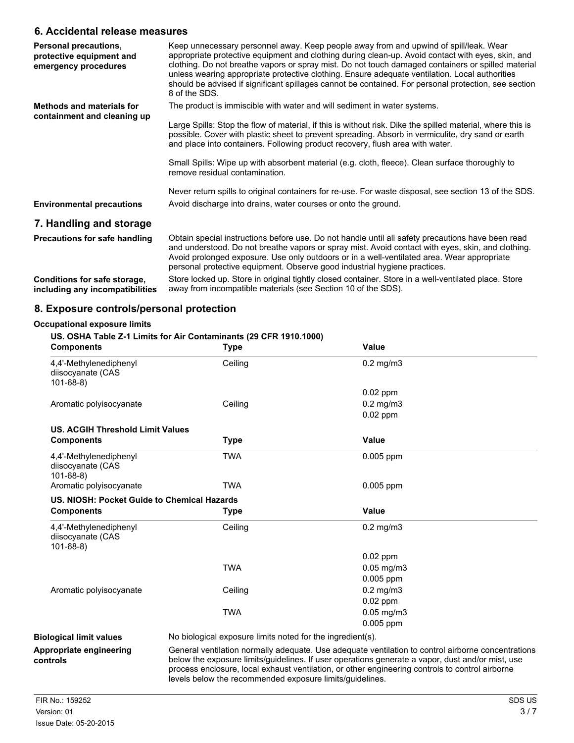#### **6. Accidental release measures**

| Personal precautions,<br>protective equipment and<br>emergency procedures | Keep unnecessary personnel away. Keep people away from and upwind of spill/leak. Wear<br>appropriate protective equipment and clothing during clean-up. Avoid contact with eyes, skin, and<br>clothing. Do not breathe vapors or spray mist. Do not touch damaged containers or spilled material<br>unless wearing appropriate protective clothing. Ensure adequate ventilation. Local authorities<br>should be advised if significant spillages cannot be contained. For personal protection, see section<br>8 of the SDS. |
|---------------------------------------------------------------------------|-----------------------------------------------------------------------------------------------------------------------------------------------------------------------------------------------------------------------------------------------------------------------------------------------------------------------------------------------------------------------------------------------------------------------------------------------------------------------------------------------------------------------------|
| Methods and materials for<br>containment and cleaning up                  | The product is immiscible with water and will sediment in water systems.<br>Large Spills: Stop the flow of material, if this is without risk. Dike the spilled material, where this is<br>possible. Cover with plastic sheet to prevent spreading. Absorb in vermiculite, dry sand or earth<br>and place into containers. Following product recovery, flush area with water.                                                                                                                                                |
|                                                                           | Small Spills: Wipe up with absorbent material (e.g. cloth, fleece). Clean surface thoroughly to<br>remove residual contamination.<br>Never return spills to original containers for re-use. For waste disposal, see section 13 of the SDS.                                                                                                                                                                                                                                                                                  |
| <b>Environmental precautions</b>                                          | Avoid discharge into drains, water courses or onto the ground.                                                                                                                                                                                                                                                                                                                                                                                                                                                              |
| 7. Handling and storage                                                   |                                                                                                                                                                                                                                                                                                                                                                                                                                                                                                                             |
| <b>Precautions for safe handling</b>                                      | Obtain special instructions before use. Do not handle until all safety precautions have been read<br>and understood. Do not breathe vapors or spray mist. Avoid contact with eyes, skin, and clothing.<br>Avoid prolonged exposure. Use only outdoors or in a well-ventilated area. Wear appropriate<br>personal protective equipment. Observe good industrial hygiene practices.                                                                                                                                           |
| Conditions for safe storage,<br>including any incompatibilities           | Store locked up. Store in original tightly closed container. Store in a well-ventilated place. Store<br>away from incompatible materials (see Section 10 of the SDS).                                                                                                                                                                                                                                                                                                                                                       |

## **8. Exposure controls/personal protection**

#### **Occupational exposure limits**

### **US. OSHA Table Z-1 Limits for Air Contaminants (29 CFR 1910.1000)**

| <b>Components</b>                                             | <b>Type</b>                                                                                                                                                                                                                                                                                                                                                           | <b>Value</b>    |  |
|---------------------------------------------------------------|-----------------------------------------------------------------------------------------------------------------------------------------------------------------------------------------------------------------------------------------------------------------------------------------------------------------------------------------------------------------------|-----------------|--|
| 4,4'-Methylenediphenyl<br>diisocyanate (CAS<br>$101 - 68 - 8$ | Ceiling                                                                                                                                                                                                                                                                                                                                                               | $0.2$ mg/m $3$  |  |
|                                                               |                                                                                                                                                                                                                                                                                                                                                                       | $0.02$ ppm      |  |
| Aromatic polyisocyanate                                       | Ceiling                                                                                                                                                                                                                                                                                                                                                               | $0.2$ mg/m $3$  |  |
|                                                               |                                                                                                                                                                                                                                                                                                                                                                       | $0.02$ ppm      |  |
| <b>US. ACGIH Threshold Limit Values</b>                       |                                                                                                                                                                                                                                                                                                                                                                       |                 |  |
| <b>Components</b>                                             | <b>Type</b>                                                                                                                                                                                                                                                                                                                                                           | <b>Value</b>    |  |
| 4,4'-Methylenediphenyl<br>diisocyanate (CAS<br>$101 - 68 - 8$ | <b>TWA</b>                                                                                                                                                                                                                                                                                                                                                            | 0.005 ppm       |  |
| Aromatic polyisocyanate                                       | <b>TWA</b>                                                                                                                                                                                                                                                                                                                                                            | $0.005$ ppm     |  |
| US. NIOSH: Pocket Guide to Chemical Hazards                   |                                                                                                                                                                                                                                                                                                                                                                       |                 |  |
| <b>Components</b>                                             | <b>Type</b>                                                                                                                                                                                                                                                                                                                                                           | <b>Value</b>    |  |
| 4,4'-Methylenediphenyl<br>diisocyanate (CAS<br>$101 - 68 - 8$ | Ceiling                                                                                                                                                                                                                                                                                                                                                               | $0.2$ mg/m $3$  |  |
|                                                               |                                                                                                                                                                                                                                                                                                                                                                       | $0.02$ ppm      |  |
|                                                               | <b>TWA</b>                                                                                                                                                                                                                                                                                                                                                            | $0.05$ mg/m $3$ |  |
|                                                               |                                                                                                                                                                                                                                                                                                                                                                       | 0.005 ppm       |  |
| Aromatic polyisocyanate                                       | Ceiling                                                                                                                                                                                                                                                                                                                                                               | $0.2$ mg/m $3$  |  |
|                                                               |                                                                                                                                                                                                                                                                                                                                                                       | $0.02$ ppm      |  |
|                                                               | <b>TWA</b>                                                                                                                                                                                                                                                                                                                                                            | $0.05$ mg/m $3$ |  |
|                                                               |                                                                                                                                                                                                                                                                                                                                                                       | 0.005 ppm       |  |
| <b>Biological limit values</b>                                | No biological exposure limits noted for the ingredient(s).                                                                                                                                                                                                                                                                                                            |                 |  |
| Appropriate engineering<br>controls                           | General ventilation normally adequate. Use adequate ventilation to control airborne concentrations<br>below the exposure limits/guidelines. If user operations generate a vapor, dust and/or mist, use<br>process enclosure, local exhaust ventilation, or other engineering controls to control airborne<br>levels below the recommended exposure limits/guidelines. |                 |  |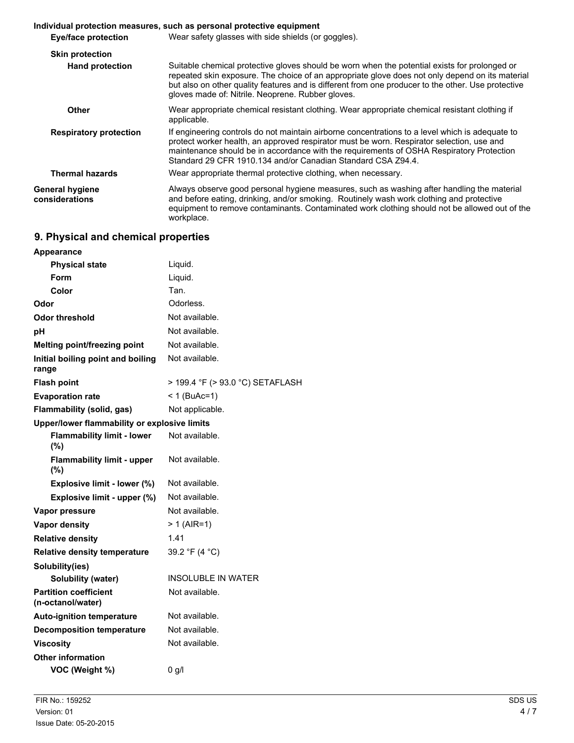#### **Individual protection measures, such as personal protective equipment**

| Eye/face protection               | Wear safety glasses with side shields (or goggles).                                                                                                                                                                                                                                                                                                         |
|-----------------------------------|-------------------------------------------------------------------------------------------------------------------------------------------------------------------------------------------------------------------------------------------------------------------------------------------------------------------------------------------------------------|
| <b>Skin protection</b>            |                                                                                                                                                                                                                                                                                                                                                             |
| <b>Hand protection</b>            | Suitable chemical protective gloves should be worn when the potential exists for prolonged or<br>repeated skin exposure. The choice of an appropriate glove does not only depend on its material<br>but also on other quality features and is different from one producer to the other. Use protective<br>gloves made of: Nitrile. Neoprene. Rubber gloves. |
| Other                             | Wear appropriate chemical resistant clothing. Wear appropriate chemical resistant clothing if<br>applicable.                                                                                                                                                                                                                                                |
| <b>Respiratory protection</b>     | If engineering controls do not maintain airborne concentrations to a level which is adequate to<br>protect worker health, an approved respirator must be worn. Respirator selection, use and<br>maintenance should be in accordance with the requirements of OSHA Respiratory Protection<br>Standard 29 CFR 1910.134 and/or Canadian Standard CSA Z94.4.    |
| <b>Thermal hazards</b>            | Wear appropriate thermal protective clothing, when necessary.                                                                                                                                                                                                                                                                                               |
| General hygiene<br>considerations | Always observe good personal hygiene measures, such as washing after handling the material<br>and before eating, drinking, and/or smoking. Routinely wash work clothing and protective<br>equipment to remove contaminants. Contaminated work clothing should not be allowed out of the<br>workplace.                                                       |

## **9. Physical and chemical properties**

| Appearance                                        |                                  |  |
|---------------------------------------------------|----------------------------------|--|
| <b>Physical state</b>                             | Liquid.                          |  |
| Form                                              | Liquid.                          |  |
| Color                                             | Tan.                             |  |
| Odor                                              | Odorless.                        |  |
| Odor threshold                                    | Not available.                   |  |
| рH                                                | Not available.                   |  |
| Melting point/freezing point                      | Not available.                   |  |
| Initial boiling point and boiling<br>range        | Not available.                   |  |
| <b>Flash point</b>                                | > 199.4 °F (> 93.0 °C) SETAFLASH |  |
| <b>Evaporation rate</b>                           | $< 1$ (BuAc=1)                   |  |
| <b>Flammability (solid, gas)</b>                  | Not applicable.                  |  |
| Upper/lower flammability or explosive limits      |                                  |  |
| <b>Flammability limit - lower</b><br>(%)          | Not available.                   |  |
| <b>Flammability limit - upper</b><br>(%)          | Not available.                   |  |
| Explosive limit - lower (%)                       | Not available.                   |  |
| Explosive limit - upper (%)                       | Not available.                   |  |
| Vapor pressure                                    | Not available.                   |  |
| <b>Vapor density</b>                              | $> 1$ (AIR=1)                    |  |
| <b>Relative density</b>                           | 1.41                             |  |
| <b>Relative density temperature</b>               | 39.2 °F (4 °C)                   |  |
| Solubility(ies)                                   |                                  |  |
| <b>Solubility (water)</b>                         | <b>INSOLUBLE IN WATER</b>        |  |
| <b>Partition coefficient</b><br>(n-octanol/water) | Not available.                   |  |
| <b>Auto-ignition temperature</b>                  | Not available.                   |  |
| <b>Decomposition temperature</b>                  | Not available.                   |  |
| <b>Viscosity</b>                                  | Not available.                   |  |
| <b>Other information</b>                          |                                  |  |
| VOC (Weight %)                                    | 0 g/l                            |  |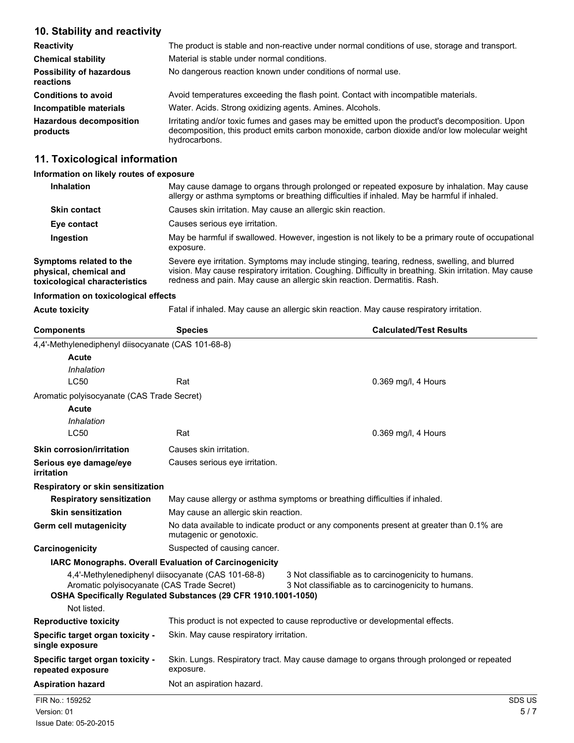## **10. Stability and reactivity**

| <b>Reactivity</b>                            | The product is stable and non-reactive under normal conditions of use, storage and transport.                                                                                                                   |
|----------------------------------------------|-----------------------------------------------------------------------------------------------------------------------------------------------------------------------------------------------------------------|
| <b>Chemical stability</b>                    | Material is stable under normal conditions.                                                                                                                                                                     |
| <b>Possibility of hazardous</b><br>reactions | No dangerous reaction known under conditions of normal use.                                                                                                                                                     |
| <b>Conditions to avoid</b>                   | Avoid temperatures exceeding the flash point. Contact with incompatible materials.                                                                                                                              |
| Incompatible materials                       | Water. Acids. Strong oxidizing agents. Amines. Alcohols.                                                                                                                                                        |
| <b>Hazardous decomposition</b><br>products   | Irritating and/or toxic fumes and gases may be emitted upon the product's decomposition. Upon<br>decomposition, this product emits carbon monoxide, carbon dioxide and/or low molecular weight<br>hydrocarbons. |

## **11. Toxicological information**

#### **Information on likely routes of exposure**

| <b>Inhalation</b>                                                                  | May cause damage to organs through prolonged or repeated exposure by inhalation. May cause<br>allergy or asthma symptoms or breathing difficulties if inhaled. May be harmful if inhaled.                                                                                            |
|------------------------------------------------------------------------------------|--------------------------------------------------------------------------------------------------------------------------------------------------------------------------------------------------------------------------------------------------------------------------------------|
| <b>Skin contact</b>                                                                | Causes skin irritation. May cause an allergic skin reaction.                                                                                                                                                                                                                         |
| Eye contact                                                                        | Causes serious eye irritation.                                                                                                                                                                                                                                                       |
| Ingestion                                                                          | May be harmful if swallowed. However, ingestion is not likely to be a primary route of occupational<br>exposure.                                                                                                                                                                     |
| Symptoms related to the<br>physical, chemical and<br>toxicological characteristics | Severe eye irritation. Symptoms may include stinging, tearing, redness, swelling, and blurred<br>vision. May cause respiratory irritation. Coughing. Difficulty in breathing. Skin irritation. May cause<br>redness and pain. May cause an allergic skin reaction. Dermatitis. Rash. |

#### **Information on toxicological effects**

| <b>Acute toxicity</b> |  |
|-----------------------|--|
|-----------------------|--|

Fatal if inhaled. May cause an allergic skin reaction. May cause respiratory irritation.

| <b>Components</b>                                         | <b>Species</b>                                                                                                       | <b>Calculated/Test Results</b>                                                                             |
|-----------------------------------------------------------|----------------------------------------------------------------------------------------------------------------------|------------------------------------------------------------------------------------------------------------|
| 4,4'-Methylenediphenyl diisocyanate (CAS 101-68-8)        |                                                                                                                      |                                                                                                            |
| Acute                                                     |                                                                                                                      |                                                                                                            |
| Inhalation                                                |                                                                                                                      |                                                                                                            |
| <b>LC50</b>                                               | Rat                                                                                                                  | 0.369 mg/l, 4 Hours                                                                                        |
| Aromatic polyisocyanate (CAS Trade Secret)                |                                                                                                                      |                                                                                                            |
| Acute                                                     |                                                                                                                      |                                                                                                            |
| Inhalation                                                |                                                                                                                      |                                                                                                            |
| <b>LC50</b>                                               | Rat                                                                                                                  | 0.369 mg/l, 4 Hours                                                                                        |
| <b>Skin corrosion/irritation</b>                          | Causes skin irritation.                                                                                              |                                                                                                            |
| Serious eye damage/eye<br>irritation                      | Causes serious eye irritation.                                                                                       |                                                                                                            |
| Respiratory or skin sensitization                         |                                                                                                                      |                                                                                                            |
| <b>Respiratory sensitization</b>                          | May cause allergy or asthma symptoms or breathing difficulties if inhaled.                                           |                                                                                                            |
| <b>Skin sensitization</b>                                 | May cause an allergic skin reaction.                                                                                 |                                                                                                            |
| Germ cell mutagenicity                                    | No data available to indicate product or any components present at greater than 0.1% are<br>mutagenic or genotoxic.  |                                                                                                            |
| Carcinogenicity                                           | Suspected of causing cancer.                                                                                         |                                                                                                            |
|                                                           | <b>IARC Monographs. Overall Evaluation of Carcinogenicity</b>                                                        |                                                                                                            |
| Aromatic polyisocyanate (CAS Trade Secret)<br>Not listed. | 4,4'-Methylenediphenyl diisocyanate (CAS 101-68-8)<br>OSHA Specifically Regulated Substances (29 CFR 1910.1001-1050) | 3 Not classifiable as to carcinogenicity to humans.<br>3 Not classifiable as to carcinogenicity to humans. |
| <b>Reproductive toxicity</b>                              | This product is not expected to cause reproductive or developmental effects.                                         |                                                                                                            |
| Specific target organ toxicity -<br>single exposure       | Skin. May cause respiratory irritation.                                                                              |                                                                                                            |
| Specific target organ toxicity -<br>repeated exposure     | Skin. Lungs. Respiratory tract. May cause damage to organs through prolonged or repeated<br>exposure.                |                                                                                                            |
| <b>Aspiration hazard</b>                                  | Not an aspiration hazard.                                                                                            |                                                                                                            |
| FIR No.: 159252                                           |                                                                                                                      | SDS US                                                                                                     |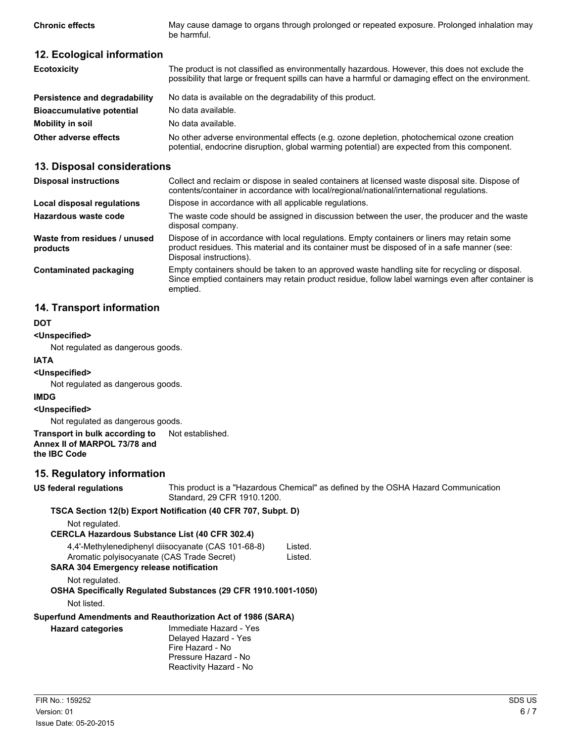**Chronic effects** May cause damage to organs through prolonged or repeated exposure. Prolonged inhalation may be harmful.

## **12. Ecological information**

| <b>Ecotoxicity</b>               | The product is not classified as environmentally hazardous. However, this does not exclude the<br>possibility that large or frequent spills can have a harmful or damaging effect on the environment. |
|----------------------------------|-------------------------------------------------------------------------------------------------------------------------------------------------------------------------------------------------------|
| Persistence and degradability    | No data is available on the degradability of this product.                                                                                                                                            |
| <b>Bioaccumulative potential</b> | No data available.                                                                                                                                                                                    |
| Mobility in soil                 | No data available.                                                                                                                                                                                    |
| Other adverse effects            | No other adverse environmental effects (e.g. ozone depletion, photochemical ozone creation<br>potential, endocrine disruption, global warming potential) are expected from this component.            |

#### **13. Disposal considerations**

| <b>Disposal instructions</b>             | Collect and reclaim or dispose in sealed containers at licensed waste disposal site. Dispose of<br>contents/container in accordance with local/regional/national/international regulations.                            |
|------------------------------------------|------------------------------------------------------------------------------------------------------------------------------------------------------------------------------------------------------------------------|
| Local disposal regulations               | Dispose in accordance with all applicable regulations.                                                                                                                                                                 |
| Hazardous waste code                     | The waste code should be assigned in discussion between the user, the producer and the waste<br>disposal company.                                                                                                      |
| Waste from residues / unused<br>products | Dispose of in accordance with local regulations. Empty containers or liners may retain some<br>product residues. This material and its container must be disposed of in a safe manner (see:<br>Disposal instructions). |
| Contaminated packaging                   | Empty containers should be taken to an approved waste handling site for recycling or disposal.<br>Since emptied containers may retain product residue, follow label warnings even after container is<br>emptied.       |

### **14. Transport information**

#### **DOT**

#### **<Unspecified>**

Not regulated as dangerous goods.

#### **IATA**

#### **<Unspecified>**

Not regulated as dangerous goods.

#### **IMDG**

#### **<Unspecified>**

Not regulated as dangerous goods.

#### **Transport in bulk according to** Not established. **Annex II of MARPOL 73/78 and the IBC Code**

#### **15. Regulatory information**

**US federal regulations** This product is a "Hazardous Chemical" as defined by the OSHA Hazard Communication Standard, 29 CFR 1910.1200.

#### **TSCA Section 12(b) Export Notification (40 CFR 707, Subpt. D)**

Pressure Hazard - No Reactivity Hazard - No

| Not regulated.                                 | <b>CERCLA Hazardous Substance List (40 CFR 302.4)</b>                                            |                    |
|------------------------------------------------|--------------------------------------------------------------------------------------------------|--------------------|
| <b>SARA 304 Emergency release notification</b> | 4,4'-Methylenediphenyl diisocyanate (CAS 101-68-8)<br>Aromatic polyisocyanate (CAS Trade Secret) | Listed.<br>Listed. |
| Not regulated.<br>Not listed.                  | OSHA Specifically Regulated Substances (29 CFR 1910.1001-1050)                                   |                    |
|                                                | Superfund Amendments and Reauthorization Act of 1986 (SARA)                                      |                    |
| <b>Hazard categories</b>                       | Immediate Hazard - Yes<br>Delayed Hazard - Yes<br>Fire Hazard - No                               |                    |

| FIR No.: 159252        | SDS US |
|------------------------|--------|
| Version: 01            | 6/7    |
| Issue Date: 05-20-2015 |        |